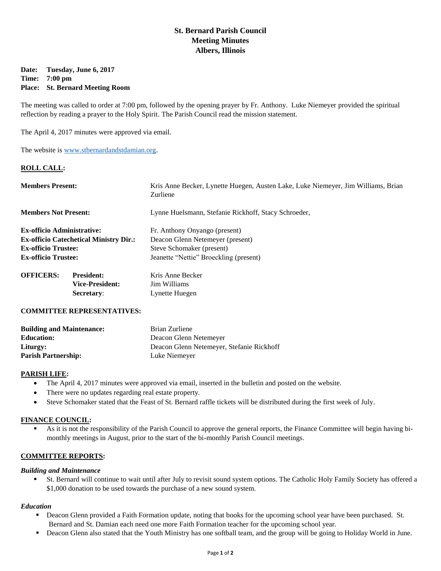# **St. Bernard Parish Council Meeting Minutes Albers, Illinois**

### **Date: Tuesday, June 6, 2017 Time: 7:00 pm Place: St. Bernard Meeting Room**

The meeting was called to order at 7:00 pm, followed by the opening prayer by Fr. Anthony. Luke Niemeyer provided the spiritual reflection by reading a prayer to the Holy Spirit. The Parish Council read the mission statement.

The April 4, 2017 minutes were approved via email.

The website is [www.stbernardandstdamian.org.](http://www.stbernardandstdamian.org/)

#### **ROLL CALL:**

| <b>Members Present:</b>                       |                        | Kris Anne Becker, Lynette Huegen, Austen Lake, Luke Niemeyer, Jim Williams, Brian<br>Zurliene |
|-----------------------------------------------|------------------------|-----------------------------------------------------------------------------------------------|
| <b>Members Not Present:</b>                   |                        | Lynne Huelsmann, Stefanie Rickhoff, Stacy Schroeder,                                          |
| <b>Ex-officio Administrative:</b>             |                        | Fr. Anthony Onyango (present)                                                                 |
| <b>Ex-officio Catechetical Ministry Dir.:</b> |                        | Deacon Glenn Netemeyer (present)                                                              |
| <b>Ex-officio Trustee:</b>                    |                        | Steve Schomaker (present)                                                                     |
| <b>Ex-officio Trustee:</b>                    |                        | Jeanette "Nettie" Broeckling (present)                                                        |
| <b>OFFICERS:</b>                              | <b>President:</b>      | Kris Anne Becker                                                                              |
|                                               | <b>Vice-President:</b> | Jim Williams                                                                                  |
|                                               | Secretary:             | Lynette Huegen                                                                                |

#### **COMMITTEE REPRESENTATIVES:**

| <b>Building and Maintenance:</b> | Brian Zurliene                            |
|----------------------------------|-------------------------------------------|
| <b>Education:</b>                | Deacon Glenn Netemeyer                    |
| Liturgy:                         | Deacon Glenn Netemeyer, Stefanie Rickhoff |
| <b>Parish Partnership:</b>       | Luke Niemeyer                             |

#### **PARISH LIFE:**

- The April 4, 2017 minutes were approved via email, inserted in the bulletin and posted on the website.
- There were no updates regarding real estate property.
- Steve Schomaker stated that the Feast of St. Bernard raffle tickets will be distributed during the first week of July.

#### **FINANCE COUNCIL:**

 As it is not the responsibility of the Parish Council to approve the general reports, the Finance Committee will begin having bimonthly meetings in August, prior to the start of the bi-monthly Parish Council meetings.

### **COMMITTEE REPORTS:**

#### *Building and Maintenance*

 St. Bernard will continue to wait until after July to revisit sound system options. The Catholic Holy Family Society has offered a \$1,000 donation to be used towards the purchase of a new sound system.

#### *Education*

- **Deacon Glenn provided a Faith Formation update, noting that books for the upcoming school year have been purchased. St.** Bernard and St. Damian each need one more Faith Formation teacher for the upcoming school year.
- **Deacon Glenn also stated that the Youth Ministry has one softball team, and the group will be going to Holiday World in June.**